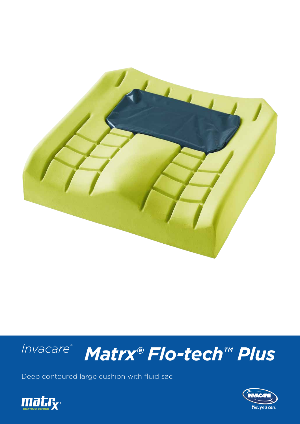



Deep contoured large cushion with fluid sac